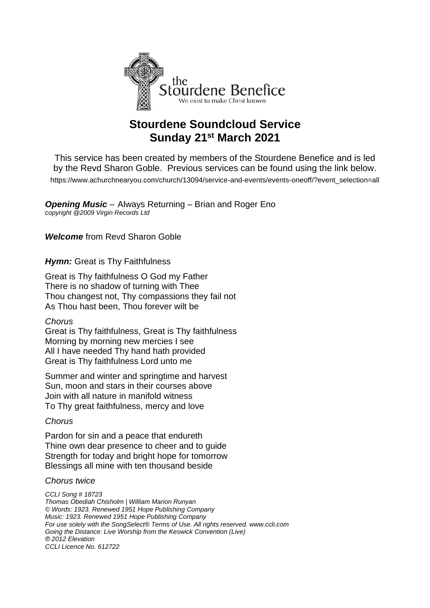

# **Stourdene Soundcloud Service Sunday 21st March 2021**

This service has been created by members of the Stourdene Benefice and is led by the Revd Sharon Goble. Previous services can be found using the link below. [https://www.achurchnearyou.com/church/13094/service-and-events/events-oneoff/?event\\_selection=all](https://www.achurchnearyou.com/church/13094/service-and-events/events-oneoff/?event_selection=all)

*Opening Music* – Always Returning – Brian and Roger Eno *copyright @2009 Virgin Records Ltd*

*Welcome* from Revd Sharon Goble

**Hymn:** Great is Thy Faithfulness

Great is Thy faithfulness O God my Father There is no shadow of turning with Thee Thou changest not, Thy compassions they fail not As Thou hast been, Thou forever wilt be

## *Chorus*

Great is Thy faithfulness, Great is Thy faithfulness Morning by morning new mercies I see All I have needed Thy hand hath provided Great is Thy faithfulness Lord unto me

Summer and winter and springtime and harvest Sun, moon and stars in their courses above Join with all nature in manifold witness To Thy great faithfulness, mercy and love

## *Chorus*

Pardon for sin and a peace that endureth Thine own dear presence to cheer and to guide Strength for today and bright hope for tomorrow Blessings all mine with ten thousand beside

## *Chorus twice*

*CCLI Song # 18723 Thomas Obediah Chisholm | William Marion Runyan © Words: 1923. Renewed 1951 Hope Publishing Company Music: 1923. Renewed 1951 Hope Publishing Company For use solely with the SongSelect® Terms of Use. All rights reserved. www.ccli.com Going the Distance: Live Worship from the Keswick Convention (Live) ℗ 2012 Elevation CCLI Licence No. 612722*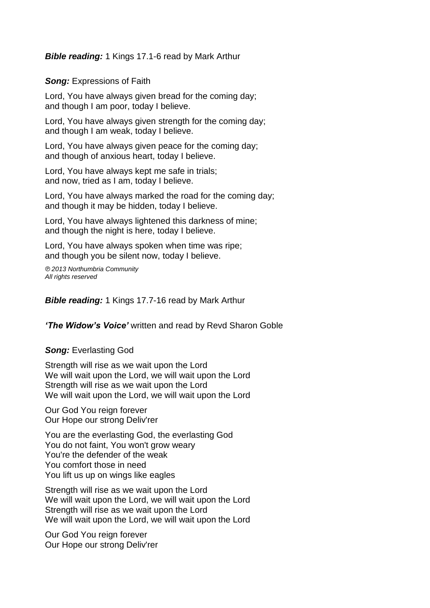## *Bible reading:* 1 Kings 17.1-6 read by Mark Arthur

*Song:* Expressions of Faith

Lord, You have always given bread for the coming day; and though I am poor, today I believe.

Lord, You have always given strength for the coming day; and though I am weak, today I believe.

Lord, You have always given peace for the coming day; and though of anxious heart, today I believe.

Lord, You have always kept me safe in trials; and now, tried as I am, today I believe.

Lord, You have always marked the road for the coming day; and though it may be hidden, today I believe.

Lord, You have always lightened this darkness of mine; and though the night is here, today I believe.

Lord, You have always spoken when time was ripe; and though you be silent now, today I believe.

*℗ 2013 Northumbria Community All rights reserved*

*Bible reading:* 1 Kings 17.7-16 read by Mark Arthur

*'The Widow's Voice'* written and read by Revd Sharon Goble

## *Song:* Everlasting God

Strength will rise as we wait upon the Lord We will wait upon the Lord, we will wait upon the Lord Strength will rise as we wait upon the Lord We will wait upon the Lord, we will wait upon the Lord

Our God You reign forever Our Hope our strong Deliv'rer

You are the everlasting God, the everlasting God You do not faint. You won't grow weary You're the defender of the weak You comfort those in need You lift us up on wings like eagles

Strength will rise as we wait upon the Lord We will wait upon the Lord, we will wait upon the Lord Strength will rise as we wait upon the Lord We will wait upon the Lord, we will wait upon the Lord

Our God You reign forever Our Hope our strong Deliv'rer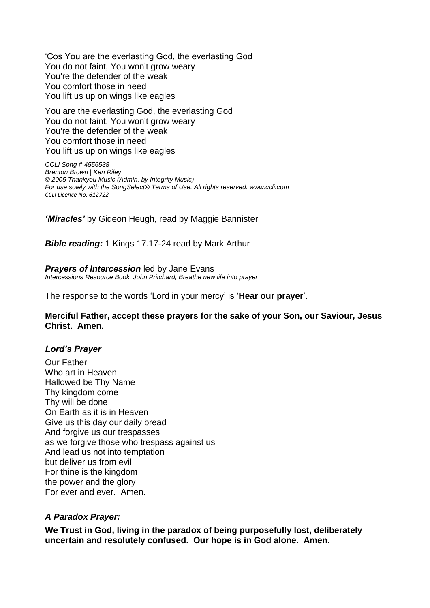'Cos You are the everlasting God, the everlasting God You do not faint, You won't grow weary You're the defender of the weak You comfort those in need You lift us up on wings like eagles

You are the everlasting God, the everlasting God You do not faint, You won't grow weary You're the defender of the weak You comfort those in need You lift us up on wings like eagles

*CCLI Song # 4556538 Brenton Brown | Ken Riley © 2005 Thankyou Music (Admin. by Integrity Music) For use solely with the SongSelect® [Terms of Use.](https://songselect.ccli.com/about/termsofuse) All rights reserved. [www.ccli.com](http://www.ccli.com/) CCLI Licence No. 612722*

*'Miracles'* by Gideon Heugh, read by Maggie Bannister

*Bible reading:* 1 Kings 17.17-24 read by Mark Arthur

*Prayers of Intercession* led by Jane Evans *Intercessions Resource Book, John Pritchard, Breathe new life into prayer*

The response to the words 'Lord in your mercy' is '**Hear our prayer**'.

## **Merciful Father, accept these prayers for the sake of your Son, our Saviour, Jesus Christ. Amen.**

## *Lord's Prayer*

Our Father Who art in Heaven Hallowed be Thy Name Thy kingdom come Thy will be done On Earth as it is in Heaven Give us this day our daily bread And forgive us our trespasses as we forgive those who trespass against us And lead us not into temptation but deliver us from evil For thine is the kingdom the power and the glory For ever and ever. Amen.

## *A Paradox Prayer:*

**We Trust in God, living in the paradox of being purposefully lost, deliberately uncertain and resolutely confused. Our hope is in God alone. Amen.**